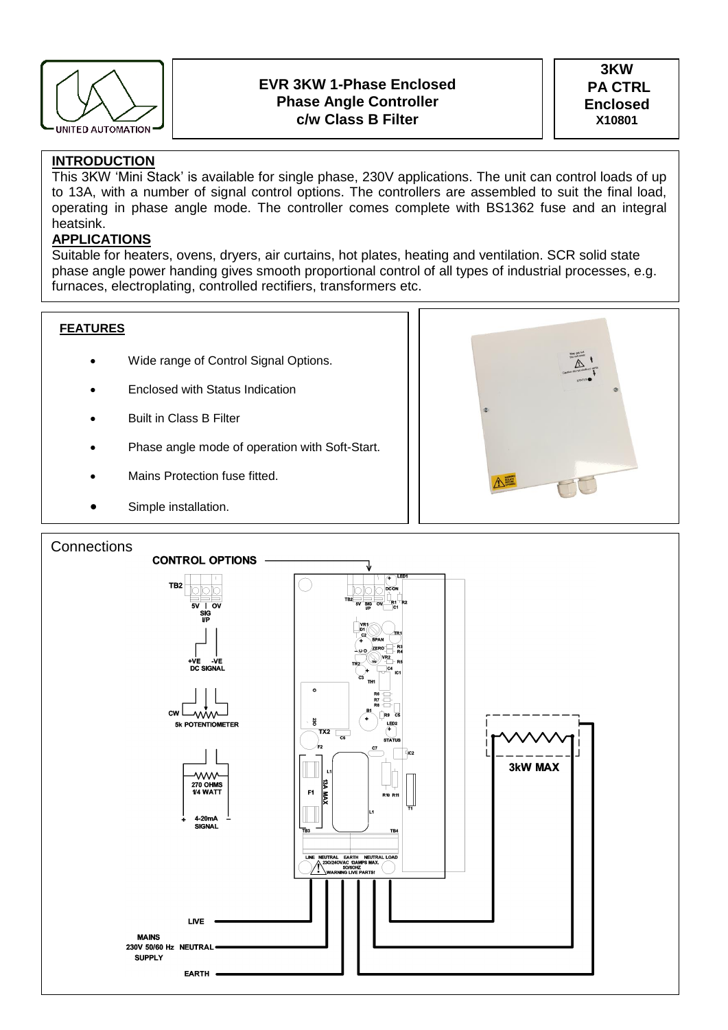

# **EVR 3KW 1-Phase Enclosed Phase Angle Controller c/w Class B Filter**

**3KW PA CTRL Enclosed X10801**

# **INTRODUCTION**

This 3KW 'Mini Stack' is available for single phase, 230V applications. The unit can control loads of up to 13A, with a number of signal control options. The controllers are assembled to suit the final load, operating in phase angle mode. The controller comes complete with BS1362 fuse and an integral heatsink.

# **APPLICATIONS**

Suitable for heaters, ovens, dryers, air curtains, hot plates, heating and ventilation. SCR solid state phase angle power handing gives smooth proportional control of all types of industrial processes, e.g. furnaces, electroplating, controlled rectifiers, transformers etc.

### **FEATURES**

- Wide range of Control Signal Options.
- Enclosed with Status Indication
- Built in Class B Filter
- Phase angle mode of operation with Soft-Start.
- Mains Protection fuse fitted.
- Simple installation.